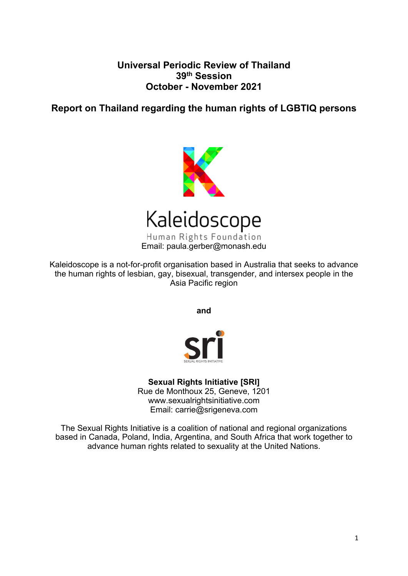# **Universal Periodic Review of Thailand 39th Session October - November 2021**

# **Report on Thailand regarding the human rights of LGBTIQ persons**



Email: paula.gerber@monash.edu

Kaleidoscope is <sup>a</sup> not-for-profit organisation based in Australia that seeks to advance the human rights of lesbian, gay, bisexual, transgender, and intersex people in the Asia Pacific region

**and**



# **Sexual Rights Initiative [SRI]**

Rue de Monthoux 25, Geneve, 1201 www.sexualrightsinitiative.com Email: carrie@srigeneva.com

The Sexual Rights Initiative is <sup>a</sup> coalition of national and regional organizations based in Canada, Poland, India, Argentina, and South Africa that work together to advance human rights related to sexuality at the United Nations.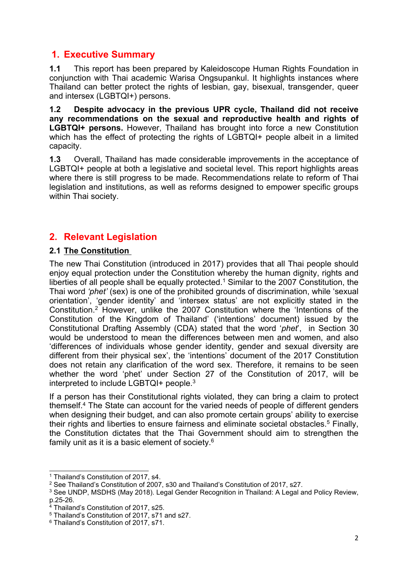# **1. Executive Summary**

**1.1** This report has been prepared by Kaleidoscope Human Rights Foundation in conjunction with Thai academic Warisa Ongsupankul. It highlights instances where Thailand can better protect the rights of lesbian, gay, bisexual, transgender, queer and intersex (LGBTQI+) persons.

**1.2 Despite advocacy in the previous UPR cycle, Thailand did not receive any recommendations on the sexual and reproductive health and rights of LGBTQI+ persons.** However, Thailand has brought into force <sup>a</sup> new Constitution which has the effect of protecting the rights of LGBTQI+ people albeit in a limited capacity.

**1.3** Overall, Thailand has made considerable improvements in the acceptance of LGBTQI+ people at both a legislative and societal level. This report highlights areas where there is still progress to be made. Recommendations relate to reform of Thai legislation and institutions, as well as reforms designed to empower specific groups within Thai society.

# **2. Relevant Legislation**

## **2.1 The Constitution**

The new Thai Constitution (introduced in 2017) provides that all Thai people should enjoy equal protection under the Constitution whereby the human dignity, rights and liberties of all people shall be equally protected. <sup>1</sup> Similar to the 2007 Constitution, the Thai word *'phet'* (sex) is one of the prohibited grounds of discrimination, while 'sexual orientation', 'gender identity' and 'intersex status' are not explicitly stated in the Constitution. <sup>2</sup> However, unlike the 2007 Constitution where the 'Intentions of the Constitution of the Kingdom of Thailand' ('intentions' document) issued by the Constitutional Drafting Assembly (CDA) stated that the word '*phet*', in Section 30 would be understood to mean the differences between men and women, and also 'differences of individuals whose gender identity, gender and sexual diversity are different from their physical sex', the 'intentions' document of the 2017 Constitution does not retain any clarification of the word sex. Therefore, it remains to be seen whether the word 'phet' under Section 27 of the Constitution of 2017, will be interpreted to include LGBTQI+ people. $^3$ 

If <sup>a</sup> person has their Constitutional rights violated, they can bring <sup>a</sup> claim to protect themself. 4 The State can account for the varied needs of people of different genders when designing their budget, and can also promote certain groups' ability to exercise their rights and liberties to ensure fairness and eliminate societal obstacles.<sup>5</sup> Finally, the Constitution dictates that the Thai Government should aim to strengthen the family unit as it is a basic element of society. $^6$ 

<sup>1</sup> Thailand'<sup>s</sup> Constitution of 2017, s4.

<sup>2</sup> See Thailand'<sup>s</sup> Constitution of 2007, s30 and Thailand'<sup>s</sup> Constitution of 2017, s27.

<sup>3</sup> See UNDP, MSDHS (May 2018). Legal Gender Recognition in Thailand: A Legal and Policy Review, p.25-26.

<sup>4</sup> Thailand'<sup>s</sup> Constitution of 2017, s25.

<sup>5</sup> Thailand'<sup>s</sup> Constitution of 2017, s71 and s27.

<sup>6</sup> Thailand'<sup>s</sup> Constitution of 2017, s71.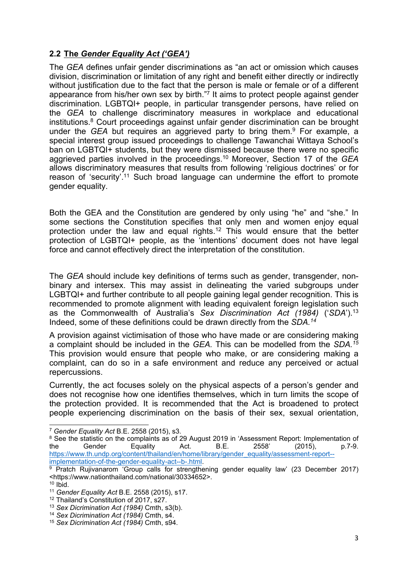## **2.2 The** *Gender Equality Act ('GEA')*

The *GEA* defines unfair gender discriminations as "an act or omission which causes division, discrimination or limitation of any right and benefit either directly or indirectly without justification due to the fact that the person is male or female or of a different appearance from his/her own sex by birth."<sup>7</sup> It aims to protect people against gender discrimination. LGBTQI+ people, in particular transgender persons, have relied on the *GEA* to challenge discriminatory measures in workplace and educational institutions. <sup>8</sup> Court proceedings against unfair gender discrimination can be brought under the *GEA* but requires an aggrieved party to bring them. 9 For example, <sup>a</sup> special interest group issued proceedings to challenge Tawanchai Wittaya School'<sup>s</sup> ban on LGBTQI+ students, but they were dismissed because there were no specific aggrieved parties involved in the proceedings. <sup>10</sup> Moreover, Section 17 of the *GEA* allows discriminatory measures that results from following 'religious doctrines' or for reason of 'security'.<sup>11</sup> Such broad language can undermine the effort to promote gender equality.

Both the GEA and the Constitution are gendered by only using "he" and "she." In some sections the Constitution specifies that only men and women enjoy equal protection under the law and equal rights. 12 This would ensure that the better protection of LGBTQI+ people, as the 'intentions' document does not have legal force and cannot effectively direct the interpretation of the constitution.

The *GEA* should include key definitions of terms such as gender, transgender, nonbinary and intersex. This may assist in delineating the varied subgroups under LGBTQI+ and further contribute to all people gaining legal gender recognition. This is recommended to promote alignment with leading equivalent foreign legislation such as the Commonwealth of Australia'<sup>s</sup> *Sex Discrimination Act (1984)* ('*SDA*'). 13 Indeed, some of these definitions could be drawn directly from the *SDA. 14*

A provision against victimisation of those who have made or are considering making <sup>a</sup> complaint should be included in the *GEA.* This can be modelled from the *SDA. 15* This provision would ensure that people who make, or are considering making <sup>a</sup> complaint, can do so in <sup>a</sup> safe environment and reduce any perceived or actual repercussions.

Currently, the act focuses solely on the physical aspects of <sup>a</sup> person'<sup>s</sup> gender and does not recognise how one identifies themselves, which in turn limits the scope of the protection provided. It is recommended that the Act is broadened to protect people experiencing discrimination on the basis of their sex, sexual orientation,

<sup>7</sup> *Gender Equality Act* B.E. 2558 (2015), s3.

<sup>&</sup>lt;sup>8</sup> See the statistic on the complaints as of 29 August 2019 in 'Assessment Report: Implementation of the Gender Equality Act. B.E. 2558' (2015), p.7-9. the Gender Equality Act. B.E. 2558' (2015), p.7-9. [https://www.th.undp.org/content/thailand/en/home/library/gender\\_equality/assessment-report-](https://www.th.undp.org/content/thailand/en/home/library/gender_equality/assessment-report--implementation-of-the-gender-equality-act--b-.html) [implementation-of-the-gender-equality-act--b-.html](https://www.th.undp.org/content/thailand/en/home/library/gender_equality/assessment-report--implementation-of-the-gender-equality-act--b-.html).

 $9$  Pratch Rujivanarom 'Group calls for strengthening gender equality law' (23 December 2017) <https://www.nationthailand.com/national/30334652>.

<sup>10</sup> Ibid.

<sup>11</sup> *Gender Equality Act* B.E. 2558 (2015), s17.

<sup>12</sup> Thailand'<sup>s</sup> Constitution of 2017, s27.

<sup>13</sup> *Sex Dicrimination Act (1984)* Cmth, s3(b).

<sup>14</sup> *Sex Dicrimination Act (1984)* Cmth, s4.

<sup>15</sup> *Sex Dicrimination Act (1984)* Cmth, s94.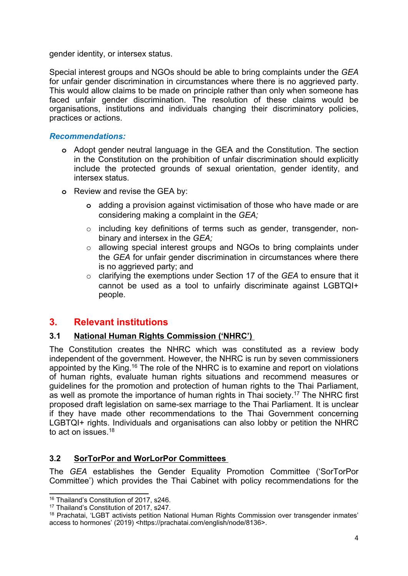gender identity, or intersex status.

Special interest groups and NGOs should be able to bring complaints under the *GEA* for unfair gender discrimination in circumstances where there is no aggrieved party. This would allow claims to be made on principle rather than only when someone has faced unfair gender discrimination. The resolution of these claims would be organisations, institutions and individuals changing their discriminatory policies, practices or actions.

### *Recommendations:*

- **<sup>o</sup>** Adopt gender neutral language in the GEA and the Constitution. The section in the Constitution on the prohibition of unfair discrimination should explicitly include the protected grounds of sexual orientation, gender identity, and intersex status.
- **<sup>o</sup>** Review and revise the GEA by:
	- **<sup>o</sup>** adding <sup>a</sup> provision against victimisation of those who have made or are considering making <sup>a</sup> complaint in the *GEA;*
	- <sup>o</sup> including key definitions of terms such as gender, transgender, nonbinary and intersex in the *GEA;*
	- <sup>o</sup> allowing special interest groups and NGOs to bring complaints under the *GEA* for unfair gender discrimination in circumstances where there is no aggrieved party; and
	- <sup>o</sup> clarifying the exemptions under Section 17 of the *GEA* to ensure that it cannot be used as <sup>a</sup> tool to unfairly discriminate against LGBTQI+ people.

# **3. Relevant institutions**

### **3.1 National Human Rights Commission ('NHRC')**

The Constitution creates the NHRC which was constituted as <sup>a</sup> review body independent of the government. However, the NHRC is run by seven commissioners appointed by the King. $^{\rm 16}$  The role of the NHRC is to examine and report on violations of human rights, evaluate human rights situations and recommend measures or guidelines for the promotion and protection of human rights to the Thai Parliament, as well as promote the importance of human rights in Thai society. 17 The NHRC first proposed draft legislation on same-sex marriage to the Thai Parliament. It is unclear if they have made other recommendations to the Thai Government concerning LGBTQI+ rights. Individuals and organisations can also lobby or petition the NHRC to act on issues.<sup>18</sup>

# **3.2 SorTorPor and WorLorPor Committees**

The *GEA* establishes the Gender Equality Promotion Committee ('SorTorPor Committee') which provides the Thai Cabinet with policy recommendations for the

<sup>16</sup> Thailand'<sup>s</sup> Constitution of 2017, s246.

<sup>17</sup> Thailand'<sup>s</sup> Constitution of 2017, s247.

<sup>18</sup> Prachatai, 'LGBT activists petition National Human Rights Commission over transgender inmates' access to hormones' (2019) <https://prachatai.com/english/node/8136>.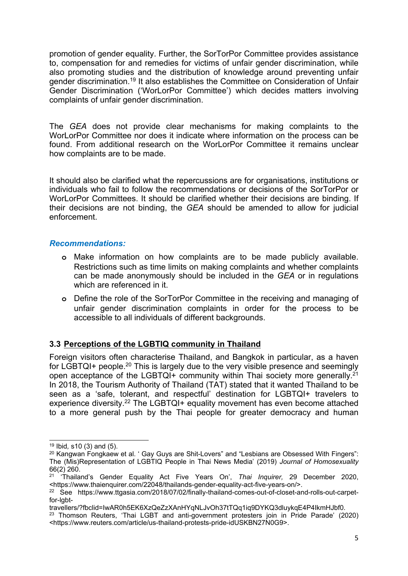promotion of gender equality. Further, the SorTorPor Committee provides assistance to, compensation for and remedies for victims of unfair gender discrimination, while also promoting studies and the distribution of knowledge around preventing unfair gender discrimination.<sup>19</sup> It also establishes the Committee on Consideration of Unfair Gender Discrimination ('WorLorPor Committee') which decides matters involving complaints of unfair gender discrimination.

The *GEA* does not provide clear mechanisms for making complaints to the WorLorPor Committee nor does it indicate where information on the process can be found. From additional research on the WorLorPor Committee it remains unclear how complaints are to be made.

It should also be clarified what the repercussions are for organisations, institutions or individuals who fail to follow the recommendations or decisions of the SorTorPor or WorLorPor Committees. It should be clarified whether their decisions are binding. If their decisions are not binding, the *GEA* should be amended to allow for judicial enforcement.

#### *Recommendations:*

- **<sup>o</sup>** Make information on how complaints are to be made publicly available. Restrictions such as time limits on making complaints and whether complaints can be made anonymously should be included in the *GEA* or in regulations which are referenced in it.
- **<sup>o</sup>** Define the role of the SorTorPor Committee in the receiving and managing of unfair gender discrimination complaints in order for the process to be accessible to all individuals of different backgrounds.

### **3.3 Perceptions of the LGBTIQ community in Thailand**

Foreign visitors often characterise Thailand, and Bangkok in particular, as <sup>a</sup> haven for LGBTQI+ people. $^{\rm 20}$  This is largely due to the very visible presence and seemingly open acceptance of the LGBTQI+ community within Thai society more generally.<sup>21</sup> In 2018, the Tourism Authority of Thailand (TAT) stated that it wanted Thailand to be seen as <sup>a</sup> 'safe, tolerant, and respectful' destination for LGBTQI+ travelers to experience diversity.<sup>22</sup> The LGBTQI+ equality movement has even become attached to <sup>a</sup> more general push by the Thai people for greater democracy and human

<sup>19</sup> Ibid*,* s10 (3) and (5).

<sup>&</sup>lt;sup>20</sup> Kangwan Fongkaew et al. ' Gay Guys are Shit-Lovers" and "Lesbians are Obsessed With Fingers": The (Mis)Representation of LGBTIQ People in Thai News Media' (2019) *Journal of Homosexuality* 66(2) 260.

<sup>21</sup> 'Thailand'<sup>s</sup> Gender Equality Act Five Years On', *Thai Inquirer,* 29 December 2020, <https://www.thaienquirer.com/22048/thailands-gender-equality-act-five-years-on/>.

<sup>22</sup> See https://www.ttgasia.com/2018/07/02/finally-thailand-comes-out-of-closet-and-rolls-out-carpetfor-labt-

travellers/?fbclid=IwAR0h5EK6XzQeZzXAnHYqNLJvOh37tTQq1iq9DYKQ3dluykqE4P4IkmHJbf0.

 $^\mathrm{23}$  Thomson Reuters, 'Thai LGBT and anti-government protesters join in Pride Parade' (2020) <https://www.reuters.com/article/us-thailand-protests-pride-idUSKBN27N0G9>.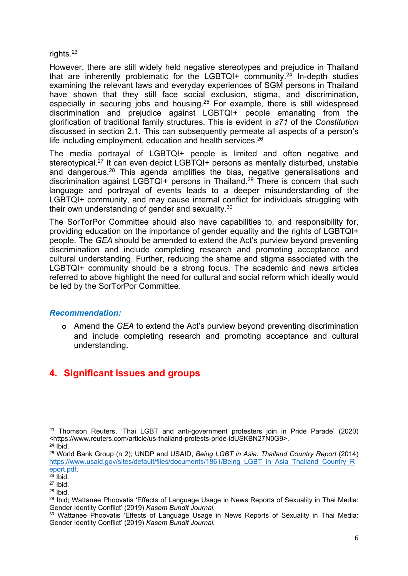rights. 23

However, there are still widely held negative stereotypes and prejudice in Thailand that are inherently problematic for the LGBTQI+ community.<sup>24</sup> In-depth studies examining the relevant laws and everyday experiences of SGM persons in Thailand have shown that they still face social exclusion, stigma, and discrimination, especially in securing jobs and housing. 25 For example, there is still widespread discrimination and prejudice against LGBTQI+ people emanating from the glorification of traditional family structures. This is evident in *s71* of the *Constitution* discussed in section 2.1. This can subsequently permeate all aspects of <sup>a</sup> person'<sup>s</sup> life including employment, education and health services. $^{26}$ 

The media portrayal of LGBTQI+ people is limited and often negative and stereotypical.<sup>27</sup> It can even depict LGBTQI+ persons as mentally disturbed, unstable and dangerous.<sup>28</sup> This agenda amplifies the bias, negative generalisations and discrimination against LGBTQI+ persons in Thailand. 29 There is concern that such language and portrayal of events leads to <sup>a</sup> deeper misunderstanding of the LGBTQI+ community, and may cause internal conflict for individuals struggling with their own understanding of gender and sexuality.<sup>30</sup>

The SorTorPor Committee should also have capabilities to, and responsibility for, providing education on the importance of gender equality and the rights of LGBTQI+ people. The *GEA* should be amended to extend the Act'<sup>s</sup> purview beyond preventing discrimination and include completing research and promoting acceptance and cultural understanding. Further, reducing the shame and stigma associated with the LGBTQI+ community should be <sup>a</sup> strong focus. The academic and news articles referred to above highlight the need for cultural and social reform which ideally would be led by the SorTorPor Committee.

#### *Recommendation:*

**<sup>o</sup>** Amend the *GEA* to extend the Act'<sup>s</sup> purview beyond preventing discrimination and include completing research and promoting acceptance and cultural understanding.

# **4. Significant issues and groups**

 $^\mathrm{23}$  Thomson Reuters, 'Thai LGBT and anti-government protesters join in Pride Parade' (2020) <https://www.reuters.com/article/us-thailand-protests-pride-idUSKBN27N0G9>.

<sup>24</sup> Ibid.

<sup>25</sup> World Bank Group (n 2); UNDP and USAID, *Being LGBT in Asia: Thailand Country Report* (2014) [https://www.usaid.gov/sites/default/files/documents/1861/Being\\_LGBT\\_in\\_Asia\\_Thailand\\_Country\\_R](https://www.usaid.gov/sites/default/files/documents/1861/Being_LGBT_in_Asia_Thailand_Country_Report.pdf)\_ [eport.pdf](https://www.usaid.gov/sites/default/files/documents/1861/Being_LGBT_in_Asia_Thailand_Country_Report.pdf).<br><sup>26</sup> Ibid.

<sup>27</sup> Ibid.

<sup>28</sup> Ibid.

<sup>&</sup>lt;sup>29</sup> Ibid; Wattanee Phoovatis 'Effects of Language Usage in News Reports of Sexuality in Thai Mediaː Gender Identity Conflict' (2019) *Kasem Bundit Journal.*

<sup>&</sup>lt;sup>30</sup> Wattanee Phoovatis 'Effects of Language Usage in News Reports of Sexuality in Thai Media: Gender Identity Conflict' (2019) *Kasem Bundit Journal.*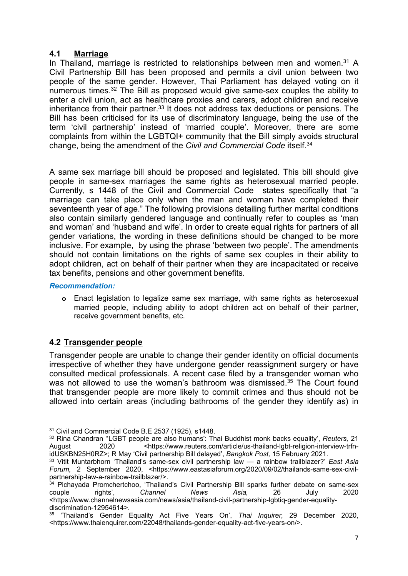#### **4.1 Marriage**

In Thailand, marriage is restricted to relationships between men and women.<sup>31</sup> A Civil Partnership Bill has been proposed and permits <sup>a</sup> civil union between two people of the same gender. However, Thai Parliament has delayed voting on it numerous times.<sup>32</sup> The Bill as proposed would give same-sex couples the ability to enter <sup>a</sup> civil union, act as healthcare proxies and carers, adopt children and receive inheritance from their partner.<sup>33</sup> It does not address tax deductions or pensions. The Bill has been criticised for its use of discriminatory language, being the use of the term 'civil partnership' instead of 'married couple'. Moreover, there are some complaints from within the LGBTQI+ community that the Bill simply avoids structural change, being the amendment of the *Civil and Commercial Code* itself. 34

A same sex marriage bill should be proposed and legislated. This bill should give people in same-sex marriages the same rights as heterosexual married people. Currently, <sup>s</sup> 1448 of the Civil and Commercial Code states specifically that "<sup>a</sup> marriage can take place only when the man and woman have completed their seventeenth year of age." The following provisions detailing further marital conditions also contain similarly gendered language and continually refer to couples as 'man and woman' and 'husband and wife'. In order to create equal rights for partners of all gender variations, the wording in these definitions should be changed to be more inclusive. For example, by using the phrase 'between two people'. The amendments should not contain limitations on the rights of same sex couples in their ability to adopt children, act on behalf of their partner when they are incapacitated or receive tax benefits, pensions and other government benefits.

#### *Recommendation:*

**<sup>o</sup>** Enact legislation to legalize same sex marriage, with same rights as heterosexual married people, including ability to adopt children act on behalf of their partner, receive government benefits, etc.

### **4.2 Transgender people**

Transgender people are unable to change their gender identity on official documents irrespective of whether they have undergone gender reassignment surgery or have consulted medical professionals. A recent case filed by <sup>a</sup> transgender woman who was not allowed to use the woman's bathroom was dismissed.<sup>35</sup> The Court found that transgender people are more likely to commit crimes and thus should not be allowed into certain areas (including bathrooms of the gender they identify as) in

<sup>31</sup> Civil and Commercial Code B.E 2537 (1925), s1448.

<sup>32</sup> Rina Chandran ''LGBT people are also humans': Thai Buddhist monk backs equality', *Reuters,* 21 <https://www.reuters.com/article/us-thailand-lgbt-religion-interview-trfnidUSKBN25H0RZ>; R May 'Civil partnership Bill delayed', *Bangkok Post,* 15 February 2021.

<sup>33</sup> Vitit Muntarbhorn 'Thailand'<sup>s</sup> same-sex civil partnership law — <sup>a</sup> rainbow trailblazer?' *East Asia Forum,* 2 September 2020, <https://www.eastasiaforum.org/2020/09/02/thailands-same-sex-civilpartnership-law-a-rainbow-trailblazer/>.

<sup>&</sup>lt;sup>34</sup> Pichayada Promchertchoo, 'Thailand's Civil Partnership Bill sparks further debate on same-sex couple rights', *Channel News Asia,* 26 July 2020 <https://www.channelnewsasia.com/news/asia/thailand-civil-partnership-lgbtiq-gender-equalitydiscrimination-12954614>.

<sup>35</sup> 'Thailand'<sup>s</sup> Gender Equality Act Five Years On', *Thai Inquirer,* 29 December 2020, <https://www.thaienquirer.com/22048/thailands-gender-equality-act-five-years-on/>.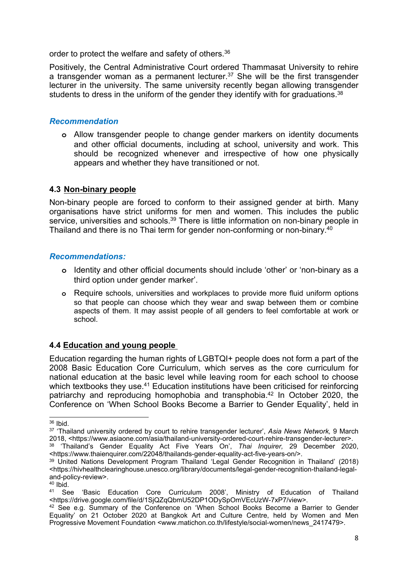order to protect the welfare and safety of others. 36

Positively, the Central Administrative Court ordered Thammasat University to rehire <sup>a</sup> transgender woman as <sup>a</sup> permanent lecturer. <sup>37</sup> She will be the first transgender lecturer in the university. The same university recently began allowing transgender students to dress in the uniform of the gender they identify with for graduations.<sup>38</sup>

#### *Recommendation*

**<sup>o</sup>** Allow transgender people to change gender markers on identity documents and other official documents, including at school, university and work. This should be recognized whenever and irrespective of how one physically appears and whether they have transitioned or not.

#### **4.3 Non-binary people**

Non-binary people are forced to conform to their assigned gender at birth. Many organisations have strict uniforms for men and women. This includes the public service, universities and schools.<sup>39</sup> There is little information on non-binary people in Thailand and there is no Thai term for gender non-conforming or non-binary. $^{40}$ 

#### *Recommendations:*

- **<sup>o</sup>** Identity and other official documents should include 'other' or 'non-binary as <sup>a</sup> third option under gender marker'.
- **<sup>o</sup>** Require schools, universities and workplaces to provide more fluid uniform options so that people can choose which they wear and swap between them or combine aspects of them. It may assist people of all genders to feel comfortable at work or school.

### **4.4 Education and young people**

Education regarding the human rights of LGBTQI+ people does not form <sup>a</sup> part of the 2008 Basic Education Core Curriculum, which serves as the core curriculum for national education at the basic level while leaving room for each school to choose which textbooks they use.<sup>41</sup> Education institutions have been criticised for reinforcing patriarchy and reproducing homophobia and transphobia. 42 In October 2020, the Conference on 'When School Books Become <sup>a</sup> Barrier to Gender Equality', held in

<sup>&</sup>lt;sup>36</sup> Ibid.

<sup>37</sup> 'Thailand university ordered by court to rehire transgender lecturer', *Asia News Network,* 9 March 2018, <https://www.asiaone.com/asia/thailand-university-ordered-court-rehire-transgender-lecturer>.

<sup>38</sup> 'Thailand'<sup>s</sup> Gender Equality Act Five Years On', *Thai Inquirer,* 29 December 2020, <https://www.thaienquirer.com/22048/thailands-gender-equality-act-five-years-on/>.

<sup>39</sup> United Nations Development Program Thailand 'Legal Gender Recognition in Thailand' (2018) <https://hivhealthclearinghouse.unesco.org/library/documents/legal-gender-recognition-thailand-legaland-policy-review>.

<sup>&</sup>lt;sup>40</sup> Ibid.

<sup>41</sup> See 'Basic Education Core Curriculum 2008', Ministry of Education of Thailand <https://drive.google.com/file/d/1SjQZqQbmU52DP1ODySpOmVEcUzW-7xP7/view>.

<sup>&</sup>lt;sup>42</sup> See e.g. Summary of the Conference on 'When School Books Become a Barrier to Gender Equality' on 21 October 2020 at Bangkok Art and Culture Centre, held by Women and Men Progressive Movement Foundation <www.matichon.co.th/lifestyle/social-women/news\_2417479>.